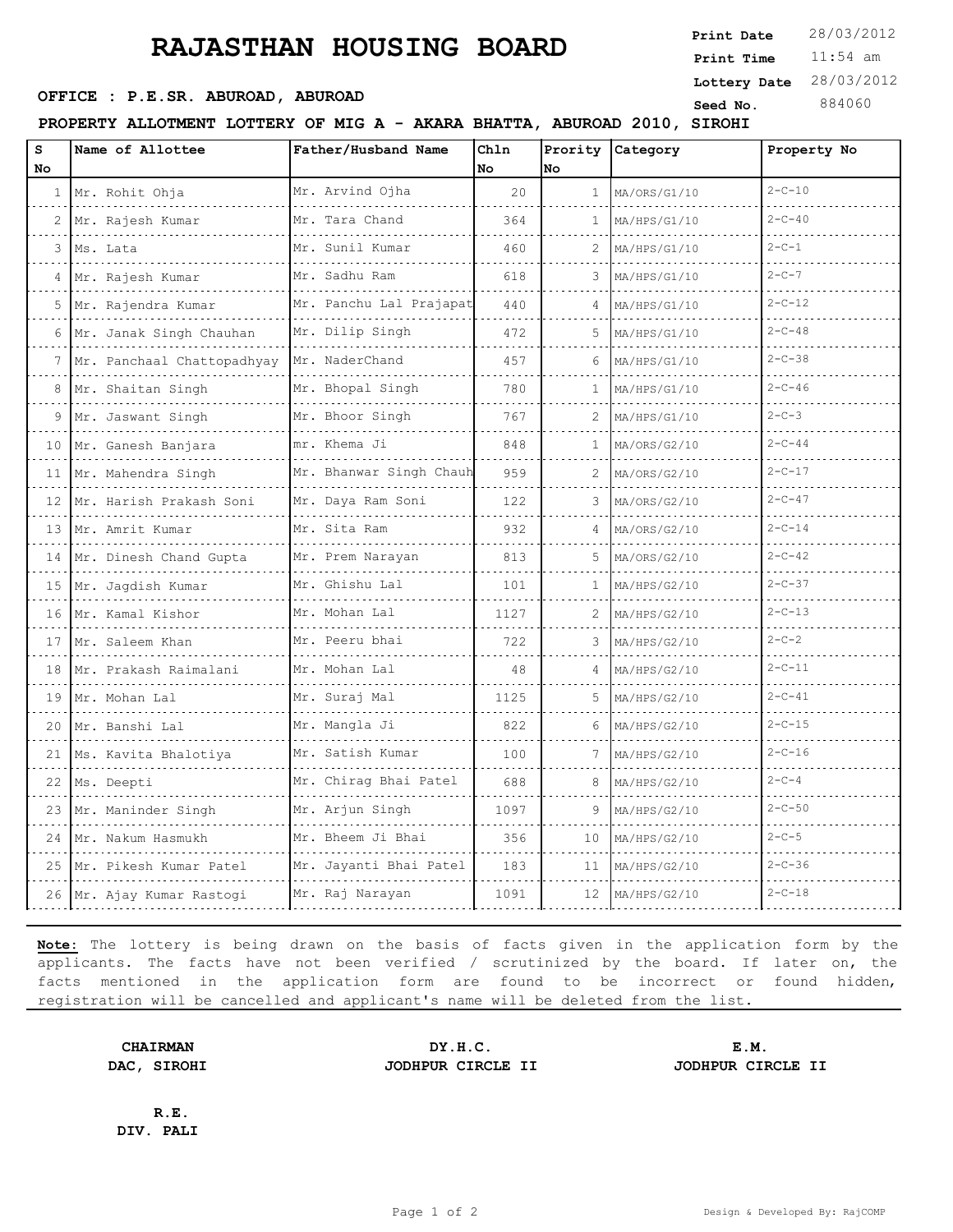## **RAJASTHAN HOUSING BOARD**

**PROPERTY ALLOTMENT LOTTERY OF MIG A - AKARA BHATTA, ABUROAD 2010, SIROHI**

| S   | Name of Allottee                | Father/Husband Name     | Chln |                 | Prority Category | Property No  |
|-----|---------------------------------|-------------------------|------|-----------------|------------------|--------------|
| No. |                                 |                         | No   | No              |                  |              |
| 1   | Mr. Rohit Ohja                  | Mr. Arvind Ojha         | 20   | $\mathbf{1}$    | MA/ORS/G1/10     | $2 - C - 10$ |
| 2   | Mr. Rajesh Kumar                | Mr. Tara Chand          | 364  | 1               | MA/HPS/G1/10     | $2 - C - 40$ |
| 3   | Ms. Lata                        | Mr. Sunil Kumar         | 460  | 2               | MA/HPS/G1/10     | $2 - C - 1$  |
| 4   | Mr. Rajesh Kumar                | Mr. Sadhu Ram<br>.      | 618  | 3               | MA/HPS/G1/10     | $2 - C - 7$  |
| 5   | Mr. Rajendra Kumar              | Mr. Panchu Lal Prajapat | 440  |                 | MA/HPS/G1/10     | $2 - C - 12$ |
| 6   | Mr. Janak Singh Chauhan         | Mr. Dilip Singh         | 472  | 5               | MA/HPS/G1/10     | $2 - C - 48$ |
|     | Mr. Panchaal Chattopadhyay<br>. | Mr. NaderChand<br>.     | 457  | 6               | MA/HPS/G1/10     | $2 - C - 38$ |
| 8   | Mr. Shaitan Singh               | Mr. Bhopal Singh        | 780  |                 | MA/HPS/G1/10     | $2 - C - 46$ |
|     | 9 Mr. Jaswant Singh             | Mr. Bhoor Singh         | 767  | 2               | MA/HPS/G1/10     | $2 - C - 3$  |
| 10  | Mr. Ganesh Banjara              | mr. Khema Ji            | 848  |                 | MA/ORS/G2/10     | $2 - C - 44$ |
|     | 11 Mr. Mahendra Singh           | Mr. Bhanwar Singh Chauh | 959  |                 | MA/ORS/G2/10     | $2 - C - 17$ |
|     | 12 Mr. Harish Prakash Soni      | Mr. Daya Ram Soni       | 122  | 3               | MA/ORS/G2/10     | $2 - C - 47$ |
| 13  | Mr. Amrit Kumar                 | Mr. Sita Ram<br>.       | 932  |                 | MA/ORS/G2/10     | $2 - C - 14$ |
|     | 14 Mr. Dinesh Chand Gupta       | Mr. Prem Narayan        | 813  | 5               | MA/ORS/G2/10     | $2 - C - 42$ |
|     | 15 Mr. Jagdish Kumar            | Mr. Ghishu Lal          | 101  | 1               | MA/HPS/G2/10     | $2 - C - 37$ |
| 16  | Mr. Kamal Kishor                | Mr. Mohan Lal           | 1127 | 2               | MA/HPS/G2/10     | $2 - C - 13$ |
|     | 17 Mr. Saleem Khan              | Mr. Peeru bhai          | 722  | 3               | MA/HPS/G2/10     | $2 - C - 2$  |
|     | 18 Mr. Prakash Raimalani        | Mr. Mohan Lal           | 48   |                 | MA/HPS/G2/10     | $2 - C - 11$ |
| 19  | Mr. Mohan Lal<br>.              | Mr. Suraj Mal           | 1125 | 5               | MA/HPS/G2/10     | $2 - C - 41$ |
|     | 20 Mr. Banshi Lal               | Mr. Mangla Ji<br>.      | 822  | 6               | MA/HPS/G2/10     | $2 - C - 15$ |
|     | 21   Ms. Kavita Bhalotiya       | Mr. Satish Kumar        | 100  |                 | MA/HPS/G2/10     | $2 - C - 16$ |
|     | 22   Ms. Deepti                 | Mr. Chiraq Bhai Patel   | 688  | 8               | MA/HPS/G2/10     | $2 - C - 4$  |
|     | 23 Mr. Maninder Singh           | Mr. Arjun Singh         | 1097 | 9               | MA/HPS/G2/10     | $2 - C - 50$ |
| 24  | Mr. Nakum Hasmukh               | Mr. Bheem Ji Bhai       | 356  | 10              | MA/HPS/G2/10     | $2 - C - 5$  |
| 25  | Mr. Pikesh Kumar Patel          | Mr. Jayanti Bhai Patel  | 183  | 11              | MA/HPS/G2/10     | $2 - C - 36$ |
|     | 26 Mr. Ajay Kumar Rastogi       | Mr. Raj Narayan         | 1091 | 12 <sup>°</sup> | MA/HPS/G2/10     | $2 - C - 18$ |

**Note:** The lottery is being drawn on the basis of facts given in the application form by the applicants. The facts have not been verified / scrutinized by the board. If later on, the facts mentioned in the application form are found to be incorrect or found hidden, registration will be cancelled and applicant's name will be deleted from the list.

**CHAIRMAN DY.H.C. E.M. DAC, SIROHI JODHPUR CIRCLE II JODHPUR CIRCLE II**

**R.E. DIV. PALI**

11:54 am **Print Time Print Date**  $28/03/2012$ **SEED OFFICE : P.E.SR. ABUROAD, ABUROAD Seed No.** 884060 **Lottery Date** 28/03/2012